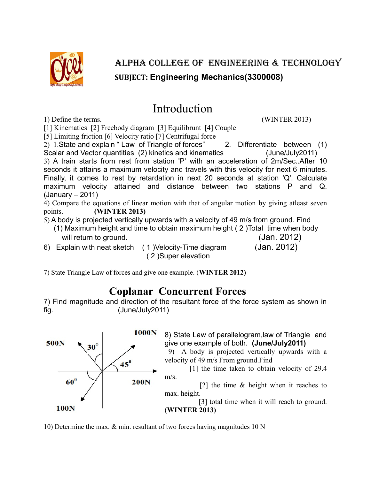

## ALPHA COLLEGE OF ENGINEERING & TECHNOLOGY **SUBJECT: Engineering Mechanics(3300008)**

# Introduction

1) Define the terms. (WINTER 2013)

[1] Kinematics [2] Freebody diagram [3] Equilibrunt [4] Couple

[5] Limiting friction [6] Velocity ratio [7] Centrifugal force

2) 1.State and explain " Law of Triangle of forces" 2. Differentiate between (1) Scalar and Vector quantities (2) kinetics and kinematics (June/July2011) 3) A train starts from rest from station 'P' with an acceleration of 2m/Sec..After 10 seconds it attains a maximum velocity and travels with this velocity for next 6 minutes. Finally, it comes to rest by retardation in next 20 seconds at station 'Q'. Calculate maximum velocity attained and distance between two stations P and Q. (January – 2011)

4) Compare the equations of linear motion with that of angular motion by giving atleast seven points. **(WINTER 2013)**

- 5) A body is projected vertically upwards with a velocity of 49 m/s from ground. Find (1) Maximum height and time to obtain maximum height ( 2 )Total time when body will return to ground. The same of the same of the same of the same of the same of the same of the same of the same of the same of the same of the same of the same of the same of the same of the same of the same of the sam
- 6) Explain with neat sketch ( 1 )Velocity-Time diagram (Jan. 2012)

( 2 )Super elevation

7) State Triangle Law of forces and give one example. (**WINTER 2012)**

### **Coplanar Concurrent Forces**

7) Find magnitude and direction of the resultant force of the force system as shown in fig. (June/July2011)



10) Determine the max. & min. resultant of two forces having magnitudes 10 N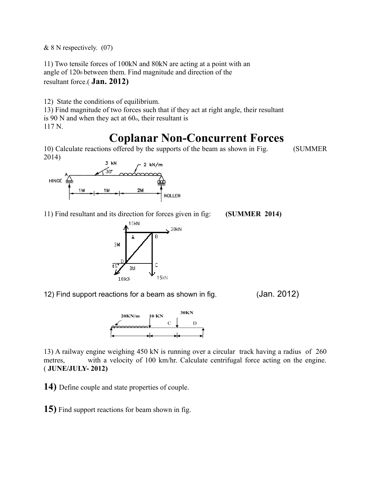$& 8 \text{ N respectively.}$  (07)

11) Two tensile forces of 100kN and 80kN are acting at a point with an angle of 1200 between them. Find magnitude and direction of the resultant force.( **Jan. 2012)**

12) State the conditions of equilibrium.

13) Find magnitude of two forces such that if they act at right angle, their resultant is  $90$  N and when they act at  $60<sub>o</sub>$ , their resultant is 117 N.

# **Coplanar Non-Concurrent Forces**

10) Calculate reactions offered by the supports of the beam as shown in Fig. (SUMMER 2014)



11) Find resultant and its direction for forces given in fig: **(SUMMER 2014)**



12) Find support reactions for a beam as shown in fig. (Jan. 2012)



13) A railway engine weighing 450 kN is running over a circular track having a radius of 260 metres, with a velocity of 100 km/hr. Calculate centrifugal force acting on the engine. ( **JUNE/JULY- 2012)**

**14)** Define couple and state properties of couple.

**15)** Find support reactions for beam shown in fig.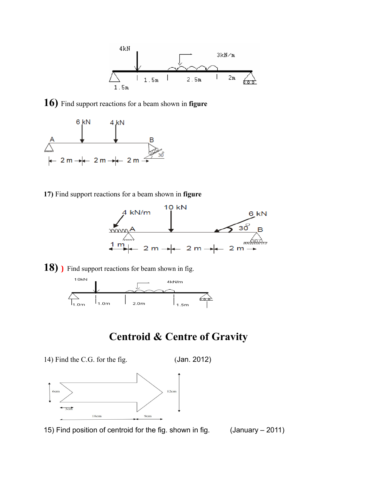

**16)** Find support reactions for a beam shown in **figure**



**17)** Find support reactions for a beam shown in **figure**



18) **)** Find support reactions for beam shown in fig.



### **Centroid & Centre of Gravity**

14) Find the C.G. for the fig. (Jan. 2012)



15) Find position of centroid for the fig. shown in fig. (January – 2011)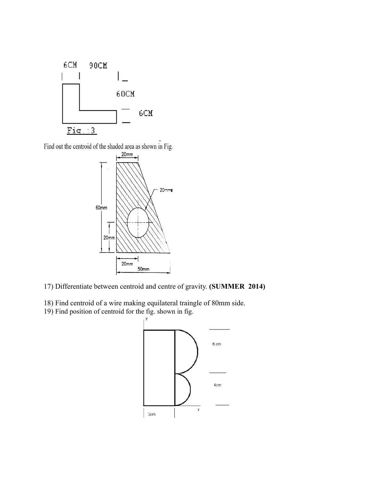

Find out the centroid of the shaded area as shown in Fig.



- 17) Differentiate between centroid and centre of gravity. **(SUMMER 2014)**
- 18) Find centroid of a wire making equilateral traingle of 80mm side.
- 19) Find position of centroid for the fig. shown in fig.

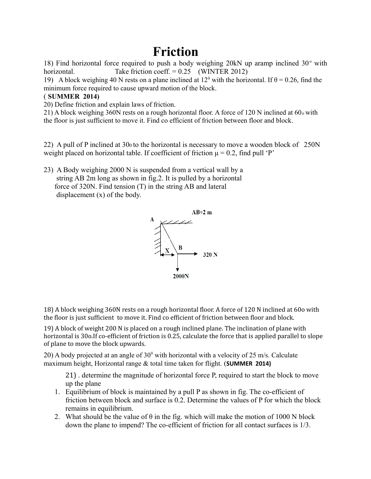# **Friction**

18) Find horizontal force required to push a body weighing  $20kN$  up aramp inclined  $30^{\circ}$  with horizontal. Take friction coeff. = 0.25 (WINTER 2012)

19) A block weighing 40 N rests on a plane inclined at  $12^{\circ}$  with the horizontal. If  $\theta = 0.26$ , find the minimum force required to cause upward motion of the block.

#### ( **SUMMER 2014)**

20) Define friction and explain laws of friction.

21) A block weighing 360N rests on a rough horizontal floor. A force of 120 N inclined at 60o with the floor is just sufficient to move it. Find co efficient of friction between floor and block.

22) A pull of P inclined at 300 to the horizontal is necessary to move a wooden block of 250N weight placed on horizontal table. If coefficient of friction  $\mu = 0.2$ , find pull 'P'

23) A Body weighing 2000 N is suspended from a vertical wall by a string AB 2m long as shown in fig.2. It is pulled by a horizontal force of 320N. Find tension (T) in the string AB and lateral displacement (x) of the body.



18) A block weighing 360N rests on a rough horizontal floor. A force of 120 N inclined at 60o with the floor is just sufficient to move it. Find co efficient of friction between floor and block.

19) A block of weight 200 N is placed on a rough inclined plane. The inclination of plane with horizontal is 30o.If co-efficient of friction is 0.25, calculate the force that is applied parallel to slope of plane to move the block upwards.

20) A body projected at an angle of  $30^{\circ}$  with horizontal with a velocity of 25 m/s. Calculate maximum height, Horizontal range & total time taken for flight. (**SUMMER 2014)**

21) . determine the magnitude of horizontal force P, required to start the block to move up the plane

- 1. Equilibrium of block is maintained by a pull P as shown in fig. The co-efficient of friction between block and surface is 0.2. Determine the values of P for which the block remains in equilibrium.
- 2. What should be the value of  $\theta$  in the fig. which will make the motion of 1000 N block down the plane to impend? The co-efficient of friction for all contact surfaces is 1/3.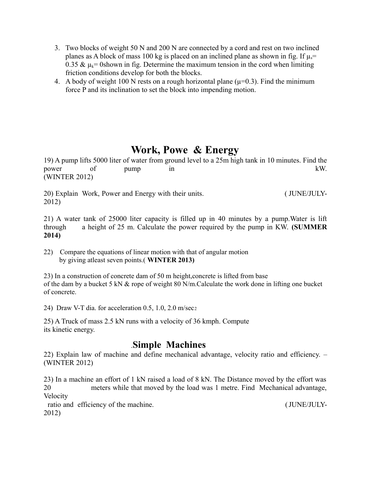- 3. Two blocks of weight 50 N and 200 N are connected by a cord and rest on two inclined planes as A block of mass 100 kg is placed on an inclined plane as shown in fig. If  $\mu_s$ = 0.35 &  $\mu_k$ = 0shown in fig. Determine the maximum tension in the cord when limiting friction conditions develop for both the blocks.
- 4. A body of weight 100 N rests on a rough horizontal plane ( $\mu$ =0.3). Find the minimum force P and its inclination to set the block into impending motion.

#### **Work, Powe & Energy**

19) A pump lifts 5000 liter of water from ground level to a 25m high tank in 10 minutes. Find the power of pump in  $kW$ . (WINTER 2012)

20) Explain Work, Power and Energy with their units. ( JUNE/JULY-2012)

21) A water tank of 25000 liter capacity is filled up in 40 minutes by a pump.Water is lift through a height of 25 m. Calculate the power required by the pump in KW. **(SUMMER 2014)**

22) Compare the equations of linear motion with that of angular motion by giving atleast seven points.( **WINTER 2013)**

23) In a construction of concrete dam of 50 m height,concrete is lifted from base of the dam by a bucket 5 kN & rope of weight 80 N/m.Calculate the work done in lifting one bucket of concrete.

24) Draw V-T dia. for acceleration 0.5, 1.0, 2.0 m/sec<sup>2</sup>

25) A Truck of mass 2.5 kN runs with a velocity of 36 kmph. Compute its kinetic energy.

#### .**Simple Machines**

22) Explain law of machine and define mechanical advantage, velocity ratio and efficiency. – (WINTER 2012)

23) In a machine an effort of 1 kN raised a load of 8 kN. The Distance moved by the effort was 20 meters while that moved by the load was 1 metre. Find Mechanical advantage, Velocity

ratio and efficiency of the machine. (JUNE/JULY-2012)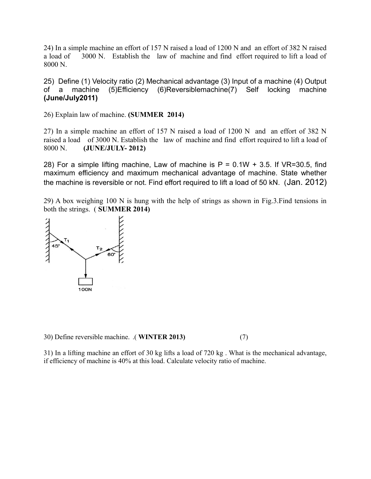24) In a simple machine an effort of 157 N raised a load of 1200 N and an effort of 382 N raised a load of 3000 N. Establish the law of machine and find effort required to lift a load of 8000 N.

25) Define (1) Velocity ratio (2) Mechanical advantage (3) Input of a machine (4) Output of a machine (5)Efficiency (6)Reversiblemachine(7) Self locking machine **(June/July2011)**

26) Explain law of machine. **(SUMMER 2014)**

27) In a simple machine an effort of 157 N raised a load of 1200 N and an effort of 382 N raised a load of 3000 N. Establish the law of machine and find effort required to lift a load of 8000 N. **(JUNE/JULY- 2012)**

28) For a simple lifting machine, Law of machine is  $P = 0.1W + 3.5$ . If VR=30.5, find maximum efficiency and maximum mechanical advantage of machine. State whether the machine is reversible or not. Find effort required to lift a load of 50 kN. (Jan. 2012)

29) A box weighing 100 N is hung with the help of strings as shown in Fig.3.Find tensions in both the strings. ( **SUMMER 2014)**



30) Define reversible machine. .( **WINTER 2013)** (7)

31) In a lifting machine an effort of 30 kg lifts a load of 720 kg . What is the mechanical advantage, if efficiency of machine is 40% at this load. Calculate velocity ratio of machine.